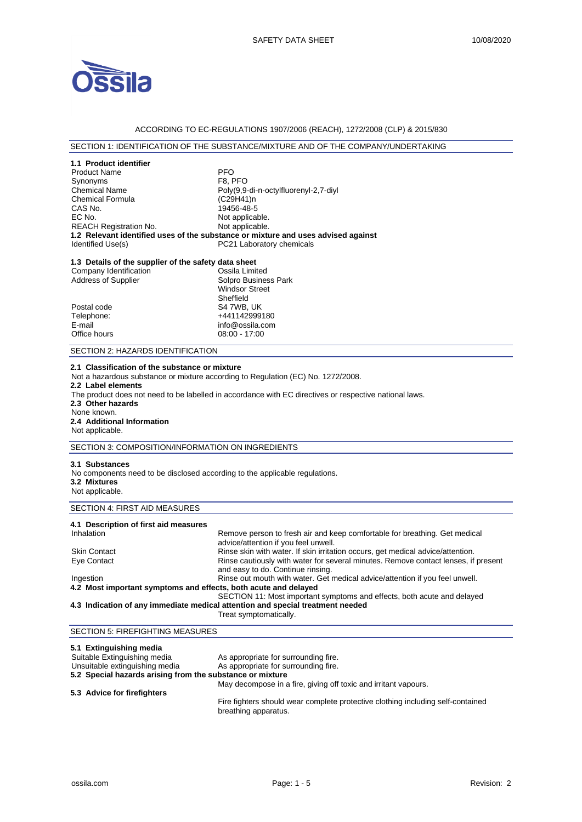

### ACCORDING TO EC-REGULATIONS 1907/2006 (REACH), 1272/2008 (CLP) & 2015/830

### SECTION 1: IDENTIFICATION OF THE SUBSTANCE/MIXTURE AND OF THE COMPANY/UNDERTAKING

| 1.1 Product identifier                               |                                                                                   |
|------------------------------------------------------|-----------------------------------------------------------------------------------|
| <b>Product Name</b>                                  | <b>PFO</b>                                                                        |
| Synonyms                                             | F8. PFO                                                                           |
| <b>Chemical Name</b>                                 | Poly(9,9-di-n-octylfluorenyl-2,7-diyl                                             |
| Chemical Formula                                     | (C29H41)n                                                                         |
| CAS No.                                              | 19456-48-5                                                                        |
| EC No.                                               | Not applicable.                                                                   |
| <b>REACH Registration No.</b>                        | Not applicable.                                                                   |
|                                                      | 1.2 Relevant identified uses of the substance or mixture and uses advised against |
| Identified Use(s)                                    | <b>PC21 Laboratory chemicals</b>                                                  |
| 1.3 Details of the supplier of the safety data sheet |                                                                                   |
| Company Identification                               | Ossila Limited                                                                    |
| Address of Supplier                                  | Solpro Business Park                                                              |

|              | <b>Windsor Street</b> |
|--------------|-----------------------|
|              | Sheffield             |
| Postal code  | S4 7WB, UK            |
| Telephone:   | +441142999180         |
| E-mail       | info@ossila.com       |
| Office hours | 08:00 - 17:00         |
|              |                       |

#### SECTION 2: HAZARDS IDENTIFICATION

#### **2.1 Classification of the substance or mixture**

Not a hazardous substance or mixture according to Regulation (EC) No. 1272/2008.

- **2.2 Label elements**
- The product does not need to be labelled in accordance with EC directives or respective national laws.
- **2.3 Other hazards**
- None known.

# **2.4 Additional Information**

Not applicable.

### SECTION 3: COMPOSITION/INFORMATION ON INGREDIENTS

#### **3.1 Substances**

No components need to be disclosed according to the applicable regulations. **3.2 Mixtures** 

Not applicable.

# SECTION 4: FIRST AID MEASURES

| 4.1 Description of first aid measures                           |                                                                                                                         |
|-----------------------------------------------------------------|-------------------------------------------------------------------------------------------------------------------------|
| Inhalation                                                      | Remove person to fresh air and keep comfortable for breathing. Get medical<br>advice/attention if you feel unwell.      |
| <b>Skin Contact</b>                                             | Rinse skin with water. If skin irritation occurs, get medical advice/attention.                                         |
| Eye Contact                                                     | Rinse cautiously with water for several minutes. Remove contact lenses, if present<br>and easy to do. Continue rinsing. |
| Ingestion                                                       | Rinse out mouth with water. Get medical advice/attention if you feel unwell.                                            |
| 4.2 Most important symptoms and effects, both acute and delayed |                                                                                                                         |
|                                                                 | SECTION 11: Most important symptoms and effects, both acute and delayed                                                 |
|                                                                 | 4.3 Indication of any immediate medical attention and special treatment needed                                          |

Treat symptomatically.

## SECTION 5: FIREFIGHTING MEASURES

| 5.1 Extinguishing media                                   |                                                                                                         |
|-----------------------------------------------------------|---------------------------------------------------------------------------------------------------------|
| Suitable Extinguishing media                              | As appropriate for surrounding fire.                                                                    |
| Unsuitable extinguishing media                            | As appropriate for surrounding fire.                                                                    |
| 5.2 Special hazards arising from the substance or mixture |                                                                                                         |
|                                                           | May decompose in a fire, giving off toxic and irritant vapours.                                         |
| 5.3 Advice for firefighters                               |                                                                                                         |
|                                                           | Fire fighters should wear complete protective clothing including self-contained<br>breathing apparatus. |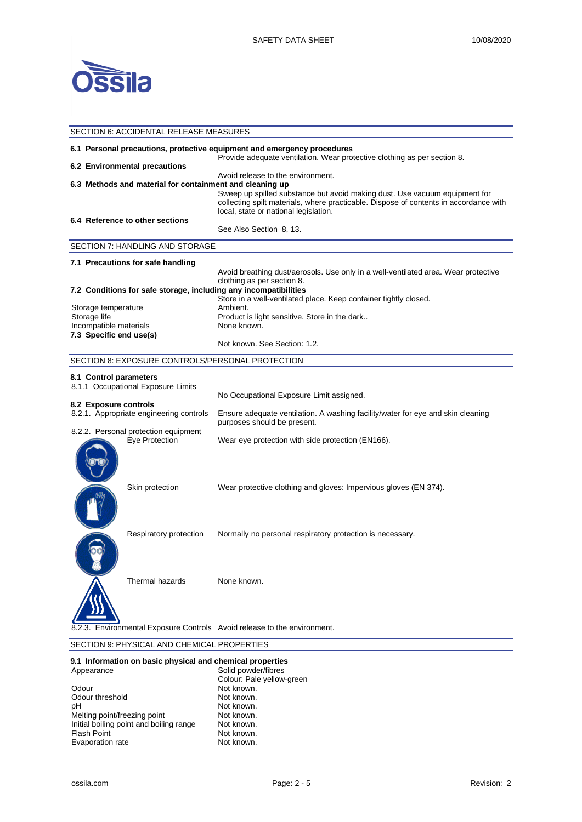

| SECTION 6: ACCIDENTAL RELEASE MEASURES |                                                          |                                                                                                                                                                                                                                                   |
|----------------------------------------|----------------------------------------------------------|---------------------------------------------------------------------------------------------------------------------------------------------------------------------------------------------------------------------------------------------------|
|                                        |                                                          | 6.1 Personal precautions, protective equipment and emergency procedures<br>Provide adequate ventilation. Wear protective clothing as per section 8.                                                                                               |
|                                        | 6.2 Environmental precautions                            |                                                                                                                                                                                                                                                   |
|                                        | 6.3 Methods and material for containment and cleaning up | Avoid release to the environment.<br>Sweep up spilled substance but avoid making dust. Use vacuum equipment for<br>collecting spilt materials, where practicable. Dispose of contents in accordance with<br>local, state or national legislation. |
|                                        | 6.4 Reference to other sections                          | See Also Section 8, 13.                                                                                                                                                                                                                           |
|                                        | SECTION 7: HANDLING AND STORAGE                          |                                                                                                                                                                                                                                                   |
|                                        | 7.1 Precautions for safe handling                        |                                                                                                                                                                                                                                                   |
|                                        |                                                          | Avoid breathing dust/aerosols. Use only in a well-ventilated area. Wear protective<br>clothing as per section 8.                                                                                                                                  |
|                                        |                                                          | 7.2 Conditions for safe storage, including any incompatibilities                                                                                                                                                                                  |
|                                        |                                                          | Store in a well-ventilated place. Keep container tightly closed.<br>Ambient.                                                                                                                                                                      |
| Storage temperature<br>Storage life    |                                                          | Product is light sensitive. Store in the dark                                                                                                                                                                                                     |
| Incompatible materials                 |                                                          | None known.                                                                                                                                                                                                                                       |
| 7.3 Specific end use(s)                |                                                          |                                                                                                                                                                                                                                                   |
|                                        |                                                          | Not known. See Section: 1.2.                                                                                                                                                                                                                      |
|                                        | SECTION 8: EXPOSURE CONTROLS/PERSONAL PROTECTION         |                                                                                                                                                                                                                                                   |
| 8.1 Control parameters                 |                                                          |                                                                                                                                                                                                                                                   |
|                                        | 8.1.1 Occupational Exposure Limits                       |                                                                                                                                                                                                                                                   |
|                                        |                                                          | No Occupational Exposure Limit assigned.                                                                                                                                                                                                          |
| 8.2 Exposure controls                  | 8.2.1. Appropriate engineering controls                  | Ensure adequate ventilation. A washing facility/water for eye and skin cleaning<br>purposes should be present.                                                                                                                                    |
|                                        | 8.2.2. Personal protection equipment                     |                                                                                                                                                                                                                                                   |
|                                        | Eye Protection                                           | Wear eye protection with side protection (EN166).                                                                                                                                                                                                 |
|                                        | Skin protection                                          | Wear protective clothing and gloves: Impervious gloves (EN 374).                                                                                                                                                                                  |
|                                        | Respiratory protection                                   | Normally no personal respiratory protection is necessary.                                                                                                                                                                                         |
|                                        | Thermal hazards                                          | None known.                                                                                                                                                                                                                                       |
|                                        |                                                          | 8.2.3. Environmental Exposure Controls Avoid release to the environment.                                                                                                                                                                          |

# SECTION 9: PHYSICAL AND CHEMICAL PROPERTIES

#### **9.1 Information on basic physical and chemical properties**

| Appearance                              | Solid powder/fibres       |
|-----------------------------------------|---------------------------|
|                                         | Colour: Pale yellow-green |
| Odour                                   | Not known.                |
| Odour threshold                         | Not known.                |
| рH                                      | Not known.                |
| Melting point/freezing point            | Not known.                |
| Initial boiling point and boiling range | Not known.                |
| <b>Flash Point</b>                      | Not known.                |
| Evaporation rate                        | Not known.                |
|                                         |                           |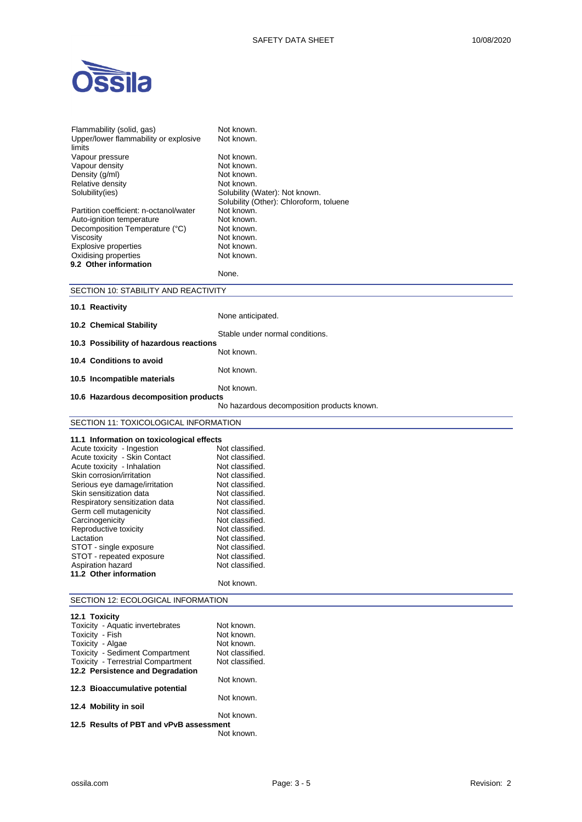

| Flammability (solid, gas)<br>Upper/lower flammability or explosive<br>limits  | Not known.<br>Not known.                   |
|-------------------------------------------------------------------------------|--------------------------------------------|
| Vapour pressure                                                               | Not known.                                 |
| Vapour density                                                                | Not known.                                 |
| Density (g/ml)                                                                | Not known.                                 |
| Relative density                                                              | Not known.                                 |
| Solubility(ies)                                                               | Solubility (Water): Not known.             |
|                                                                               | Solubility (Other): Chloroform, toluene    |
| Partition coefficient: n-octanol/water                                        | Not known.                                 |
| Auto-ignition temperature                                                     | Not known.                                 |
| Decomposition Temperature (°C)                                                | Not known.                                 |
| Viscosity                                                                     | Not known.                                 |
| <b>Explosive properties</b>                                                   | Not known.<br>Not known.                   |
| Oxidising properties<br>9.2 Other information                                 |                                            |
|                                                                               | None.                                      |
| SECTION 10: STABILITY AND REACTIVITY                                          |                                            |
|                                                                               |                                            |
| 10.1 Reactivity                                                               |                                            |
|                                                                               | None anticipated.                          |
| 10.2 Chemical Stability                                                       |                                            |
|                                                                               | Stable under normal conditions.            |
| 10.3 Possibility of hazardous reactions                                       | Not known.                                 |
| 10.4 Conditions to avoid                                                      |                                            |
|                                                                               | Not known.                                 |
| 10.5 Incompatible materials                                                   |                                            |
|                                                                               | Not known.                                 |
| 10.6 Hazardous decomposition products                                         |                                            |
|                                                                               | No hazardous decomposition products known. |
| SECTION 11: TOXICOLOGICAL INFORMATION                                         |                                            |
|                                                                               |                                            |
|                                                                               |                                            |
| 11.1 Information on toxicological effects                                     |                                            |
| Acute toxicity - Ingestion                                                    | Not classified.                            |
| Acute toxicity - Skin Contact                                                 | Not classified.                            |
| Acute toxicity - Inhalation                                                   | Not classified.                            |
| Skin corrosion/irritation                                                     | Not classified.                            |
| Serious eye damage/irritation                                                 | Not classified.                            |
| Skin sensitization data                                                       | Not classified.                            |
| Respiratory sensitization data                                                | Not classified.                            |
| Germ cell mutagenicity                                                        | Not classified.                            |
| Carcinogenicity                                                               | Not classified.                            |
| Reproductive toxicity                                                         | Not classified.                            |
| Lactation                                                                     | Not classified.<br>Not classified.         |
| STOT - single exposure<br>STOT - repeated exposure                            | Not classified.                            |
| Aspiration hazard                                                             | Not classified.                            |
| 11.2 Other information                                                        |                                            |
|                                                                               | Not known.                                 |
| SECTION 12: ECOLOGICAL INFORMATION                                            |                                            |
|                                                                               |                                            |
| 12.1 Toxicity                                                                 |                                            |
| Toxicity - Aquatic invertebrates                                              | Not known.                                 |
| Toxicity - Fish                                                               | Not known.                                 |
| Toxicity - Algae                                                              | Not known.<br>Not classified.              |
| Toxicity - Sediment Compartment                                               | Not classified.                            |
| <b>Toxicity - Terrestrial Compartment</b><br>12.2 Persistence and Degradation |                                            |
|                                                                               | Not known.                                 |
| 12.3 Bioaccumulative potential                                                |                                            |
|                                                                               | Not known.                                 |
| 12.4 Mobility in soil                                                         |                                            |
| 12.5 Results of PBT and vPvB assessment                                       | Not known.                                 |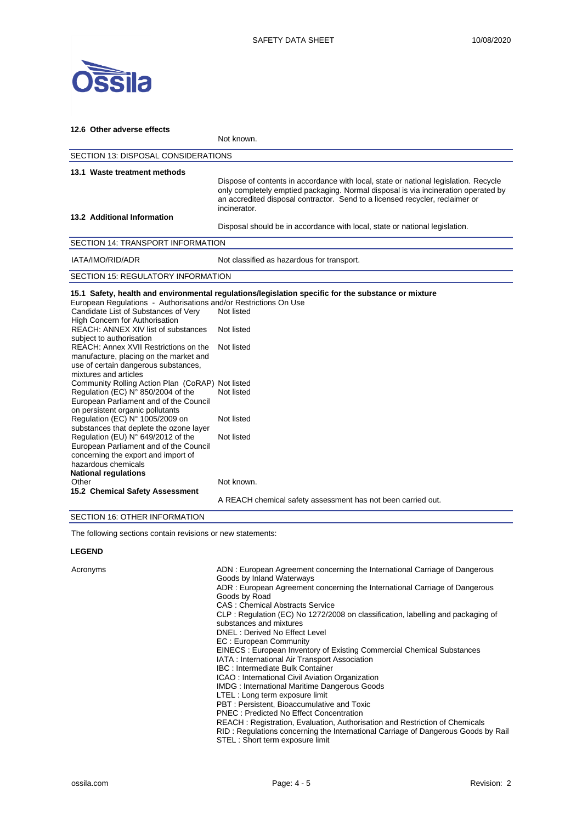

| 12.6 Other adverse effects                                                                                                                                                                                                                                                                                                                                                                                                       |                                                                                                                                                                                                                                                                            |  |  |
|----------------------------------------------------------------------------------------------------------------------------------------------------------------------------------------------------------------------------------------------------------------------------------------------------------------------------------------------------------------------------------------------------------------------------------|----------------------------------------------------------------------------------------------------------------------------------------------------------------------------------------------------------------------------------------------------------------------------|--|--|
|                                                                                                                                                                                                                                                                                                                                                                                                                                  | Not known.                                                                                                                                                                                                                                                                 |  |  |
|                                                                                                                                                                                                                                                                                                                                                                                                                                  | SECTION 13: DISPOSAL CONSIDERATIONS                                                                                                                                                                                                                                        |  |  |
| 13.1 Waste treatment methods                                                                                                                                                                                                                                                                                                                                                                                                     | Dispose of contents in accordance with local, state or national legislation. Recycle<br>only completely emptied packaging. Normal disposal is via incineration operated by<br>an accredited disposal contractor. Send to a licensed recycler, reclaimer or<br>incinerator. |  |  |
| 13.2 Additional Information                                                                                                                                                                                                                                                                                                                                                                                                      | Disposal should be in accordance with local, state or national legislation.                                                                                                                                                                                                |  |  |
| SECTION 14: TRANSPORT INFORMATION                                                                                                                                                                                                                                                                                                                                                                                                |                                                                                                                                                                                                                                                                            |  |  |
| IATA/IMO/RID/ADR                                                                                                                                                                                                                                                                                                                                                                                                                 | Not classified as hazardous for transport.                                                                                                                                                                                                                                 |  |  |
| <b>SECTION 15: REGULATORY INFORMATION</b>                                                                                                                                                                                                                                                                                                                                                                                        |                                                                                                                                                                                                                                                                            |  |  |
| European Regulations - Authorisations and/or Restrictions On Use<br>Candidate List of Substances of Very<br>High Concern for Authorisation<br>REACH: ANNEX XIV list of substances<br>subject to authorisation<br>REACH: Annex XVII Restrictions on the<br>manufacture, placing on the market and<br>use of certain dangerous substances,<br>mixtures and articles                                                                | 15.1 Safety, health and environmental regulations/legislation specific for the substance or mixture<br>Not listed<br>Not listed<br>Not listed                                                                                                                              |  |  |
| Community Rolling Action Plan (CoRAP) Not listed<br>Regulation (EC) N° 850/2004 of the<br>European Parliament and of the Council<br>on persistent organic pollutants<br>Regulation (EC) N° 1005/2009 on                                                                                                                                                                                                                          | Not listed<br>Not listed                                                                                                                                                                                                                                                   |  |  |
| substances that deplete the ozone layer<br>Regulation (EU) N° 649/2012 of the<br>European Parliament and of the Council<br>concerning the export and import of<br>hazardous chemicals<br><b>National regulations</b>                                                                                                                                                                                                             | Not listed                                                                                                                                                                                                                                                                 |  |  |
| Other<br>15.2 Chemical Safety Assessment<br>$\overline{z}$ $\overline{z}$ $\overline{z}$ $\overline{z}$ $\overline{z}$ $\overline{z}$ $\overline{z}$ $\overline{z}$ $\overline{z}$ $\overline{z}$ $\overline{z}$ $\overline{z}$ $\overline{z}$ $\overline{z}$ $\overline{z}$ $\overline{z}$ $\overline{z}$ $\overline{z}$ $\overline{z}$ $\overline{z}$ $\overline{z}$ $\overline{z}$ $\overline{z}$ $\overline{z}$ $\overline{$ | Not known.<br>A REACH chemical safety assessment has not been carried out.                                                                                                                                                                                                 |  |  |

SECTION 16: OTHER INFORMATION

The following sections contain revisions or new statements:

# **LEGEND**

| Acronyms | ADN: European Agreement concerning the International Carriage of Dangerous<br>Goods by Inland Waterways<br>ADR: European Agreement concerning the International Carriage of Dangerous<br>Goods by Road<br>CAS: Chemical Abstracts Service<br>CLP: Regulation (EC) No 1272/2008 on classification, labelling and packaging of<br>substances and mixtures<br>DNEL: Derived No Effect Level<br>EC: European Community<br>EINECS : European Inventory of Existing Commercial Chemical Substances<br>IATA: International Air Transport Association<br><b>IBC: Intermediate Bulk Container</b><br>ICAO: International Civil Aviation Organization<br><b>IMDG: International Maritime Dangerous Goods</b><br>LTEL: Long term exposure limit<br>PBT: Persistent, Bioaccumulative and Toxic<br>PNEC: Predicted No Effect Concentration<br>REACH: Registration, Evaluation, Authorisation and Restriction of Chemicals<br>RID: Regulations concerning the International Carriage of Dangerous Goods by Rail |
|----------|---------------------------------------------------------------------------------------------------------------------------------------------------------------------------------------------------------------------------------------------------------------------------------------------------------------------------------------------------------------------------------------------------------------------------------------------------------------------------------------------------------------------------------------------------------------------------------------------------------------------------------------------------------------------------------------------------------------------------------------------------------------------------------------------------------------------------------------------------------------------------------------------------------------------------------------------------------------------------------------------------|
|          | STEL: Short term exposure limit                                                                                                                                                                                                                                                                                                                                                                                                                                                                                                                                                                                                                                                                                                                                                                                                                                                                                                                                                                   |